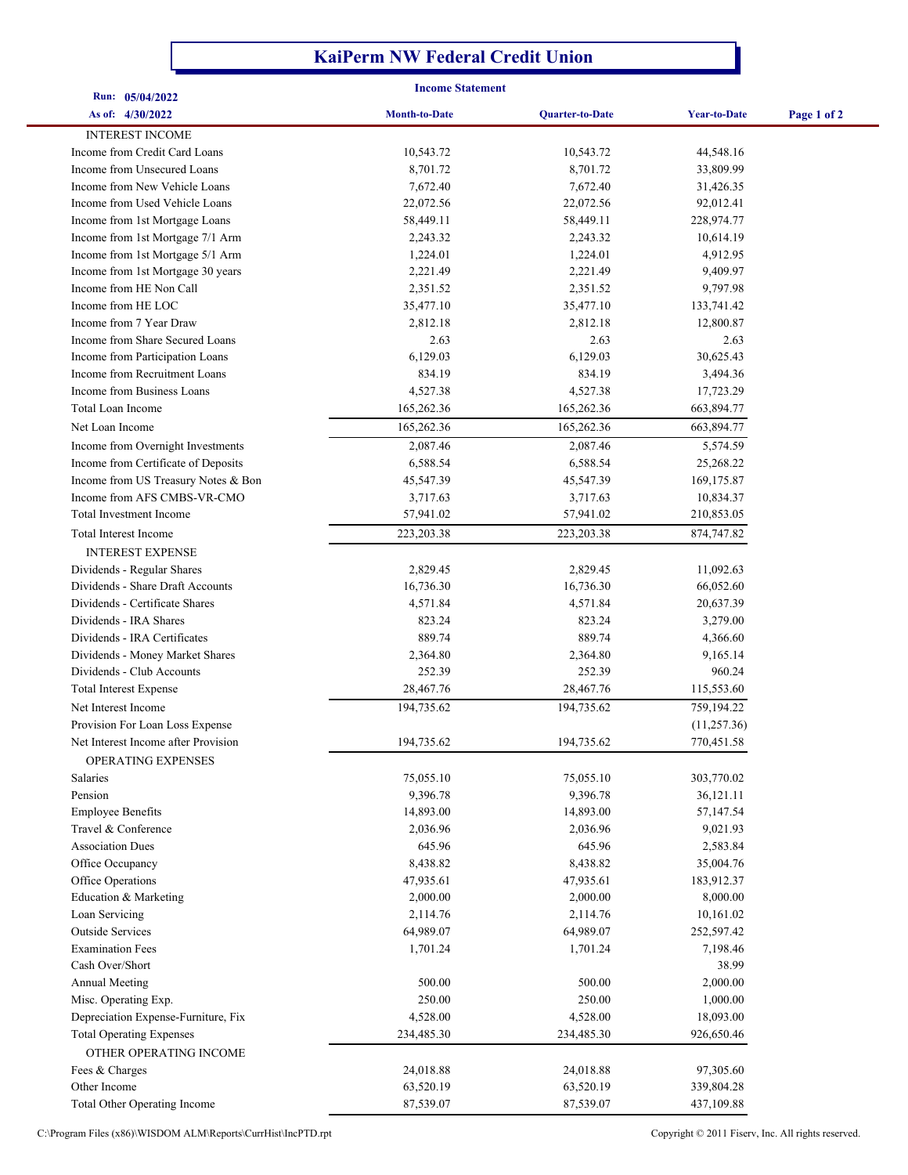## **KaiPerm NW Federal Credit Union**

| <b>Income Statement</b><br>Run: 05/04/2022                   |                      |                        |                        |             |  |
|--------------------------------------------------------------|----------------------|------------------------|------------------------|-------------|--|
| As of: 4/30/2022                                             | <b>Month-to-Date</b> | <b>Quarter-to-Date</b> | <b>Year-to-Date</b>    | Page 1 of 2 |  |
| <b>INTEREST INCOME</b>                                       |                      |                        |                        |             |  |
|                                                              | 10,543.72            |                        | 44,548.16              |             |  |
| Income from Credit Card Loans<br>Income from Unsecured Loans | 8,701.72             | 10,543.72<br>8,701.72  | 33,809.99              |             |  |
| Income from New Vehicle Loans                                | 7,672.40             | 7,672.40               |                        |             |  |
| Income from Used Vehicle Loans                               | 22,072.56            | 22,072.56              | 31,426.35<br>92,012.41 |             |  |
| Income from 1st Mortgage Loans                               | 58,449.11            | 58,449.11              | 228,974.77             |             |  |
| Income from 1st Mortgage 7/1 Arm                             | 2,243.32             | 2,243.32               | 10,614.19              |             |  |
| Income from 1st Mortgage 5/1 Arm                             | 1,224.01             | 1,224.01               | 4,912.95               |             |  |
|                                                              |                      |                        |                        |             |  |
| Income from 1st Mortgage 30 years<br>Income from HE Non Call | 2,221.49<br>2,351.52 | 2,221.49<br>2,351.52   | 9,409.97<br>9,797.98   |             |  |
| Income from HE LOC                                           | 35,477.10            | 35,477.10              | 133,741.42             |             |  |
| Income from 7 Year Draw                                      | 2,812.18             | 2,812.18               | 12,800.87              |             |  |
| Income from Share Secured Loans                              | 2.63                 | 2.63                   | 2.63                   |             |  |
| Income from Participation Loans                              | 6,129.03             | 6,129.03               | 30,625.43              |             |  |
| Income from Recruitment Loans                                | 834.19               | 834.19                 | 3,494.36               |             |  |
| Income from Business Loans                                   | 4,527.38             | 4,527.38               | 17,723.29              |             |  |
| Total Loan Income                                            | 165,262.36           | 165,262.36             | 663,894.77             |             |  |
| Net Loan Income                                              |                      |                        |                        |             |  |
|                                                              | 165,262.36           | 165,262.36             | 663,894.77             |             |  |
| Income from Overnight Investments                            | 2,087.46             | 2,087.46               | 5,574.59               |             |  |
| Income from Certificate of Deposits                          | 6,588.54             | 6,588.54               | 25,268.22              |             |  |
| Income from US Treasury Notes & Bon                          | 45,547.39            | 45,547.39              | 169,175.87             |             |  |
| Income from AFS CMBS-VR-CMO                                  | 3,717.63             | 3,717.63               | 10,834.37              |             |  |
| Total Investment Income                                      | 57,941.02            | 57,941.02              | 210,853.05             |             |  |
| Total Interest Income                                        | 223, 203. 38         | 223,203.38             | 874,747.82             |             |  |
| <b>INTEREST EXPENSE</b>                                      |                      |                        |                        |             |  |
| Dividends - Regular Shares                                   | 2,829.45             | 2,829.45               | 11,092.63              |             |  |
| Dividends - Share Draft Accounts                             | 16,736.30            | 16,736.30              | 66,052.60              |             |  |
| Dividends - Certificate Shares                               | 4,571.84             | 4,571.84               | 20,637.39              |             |  |
| Dividends - IRA Shares                                       | 823.24               | 823.24                 | 3,279.00               |             |  |
| Dividends - IRA Certificates                                 | 889.74               | 889.74                 | 4,366.60               |             |  |
| Dividends - Money Market Shares                              | 2,364.80             | 2,364.80               | 9,165.14               |             |  |
| Dividends - Club Accounts                                    | 252.39               | 252.39                 | 960.24                 |             |  |
| <b>Total Interest Expense</b>                                | 28,467.76            | 28,467.76              | 115,553.60             |             |  |
| Net Interest Income                                          | 194,735.62           | 194,735.62             | 759,194.22             |             |  |
| Provision For Loan Loss Expense                              |                      |                        | (11, 257.36)           |             |  |
| Net Interest Income after Provision                          | 194,735.62           | 194,735.62             | 770,451.58             |             |  |
| OPERATING EXPENSES                                           |                      |                        |                        |             |  |
| Salaries                                                     | 75,055.10            | 75,055.10              | 303,770.02             |             |  |
| Pension                                                      | 9,396.78             | 9,396.78               | 36,121.11              |             |  |
| <b>Employee Benefits</b>                                     | 14,893.00            | 14,893.00              | 57,147.54              |             |  |
| Travel & Conference                                          | 2,036.96             | 2,036.96               | 9,021.93               |             |  |
| <b>Association Dues</b>                                      | 645.96               | 645.96                 | 2,583.84               |             |  |
| Office Occupancy                                             | 8,438.82             | 8,438.82               | 35,004.76              |             |  |
| Office Operations                                            | 47,935.61            | 47,935.61              | 183,912.37             |             |  |
| Education & Marketing                                        | 2,000.00             | 2,000.00               | 8,000.00               |             |  |
| Loan Servicing                                               | 2,114.76             | 2,114.76               | 10,161.02              |             |  |
| <b>Outside Services</b>                                      | 64,989.07            | 64,989.07              | 252,597.42             |             |  |
| <b>Examination Fees</b>                                      | 1,701.24             | 1,701.24               | 7,198.46               |             |  |
| Cash Over/Short                                              |                      |                        | 38.99                  |             |  |
| <b>Annual Meeting</b>                                        | 500.00               | 500.00                 | 2,000.00               |             |  |
| Misc. Operating Exp.                                         | 250.00               | 250.00                 | 1,000.00               |             |  |
| Depreciation Expense-Furniture, Fix                          | 4,528.00             | 4,528.00               | 18,093.00              |             |  |
| <b>Total Operating Expenses</b>                              | 234,485.30           | 234,485.30             | 926,650.46             |             |  |
| OTHER OPERATING INCOME                                       |                      |                        |                        |             |  |
| Fees & Charges                                               | 24,018.88            | 24,018.88              | 97,305.60              |             |  |
| Other Income                                                 | 63,520.19            | 63,520.19              | 339,804.28             |             |  |
| Total Other Operating Income                                 | 87,539.07            | 87,539.07              | 437,109.88             |             |  |

C:\Program Files (x86)\WISDOM ALM\Reports\CurrHist\IncPTD.rpt Copyright © 2011 Fiserv, Inc. All rights reserved.